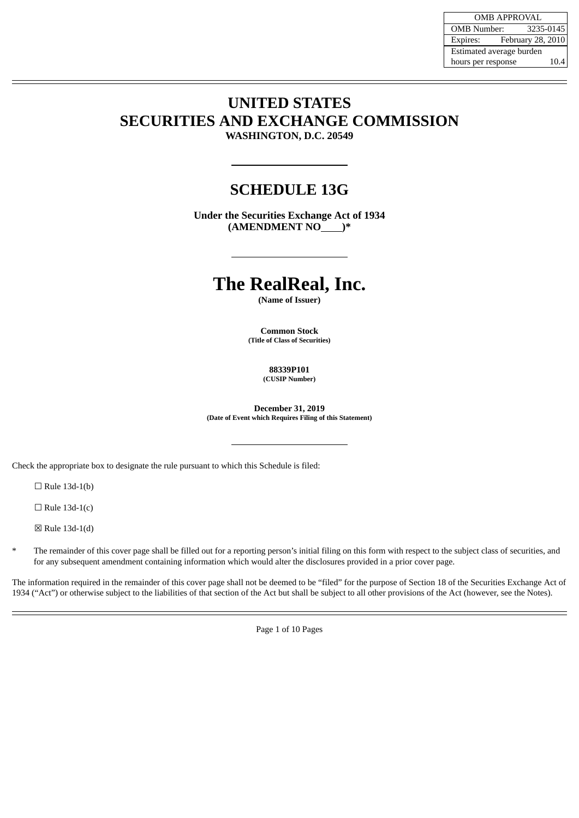|                          | <b>OMB APPROVAL</b> |                   |
|--------------------------|---------------------|-------------------|
| <b>OMB Number:</b>       |                     | 3235-0145         |
| Expires:                 |                     | February 28, 2010 |
| Estimated average burden |                     |                   |
| hours per response       |                     | 10.4              |

# **UNITED STATES SECURITIES AND EXCHANGE COMMISSION WASHINGTON, D.C. 20549**

# **SCHEDULE 13G**

**Under the Securities Exchange Act of 1934 (AMENDMENT NO )\***

# **The RealReal, Inc.**

**(Name of Issuer)**

**Common Stock (Title of Class of Securities)**

> **88339P101 (CUSIP Number)**

**December 31, 2019 (Date of Event which Requires Filing of this Statement)**

Check the appropriate box to designate the rule pursuant to which this Schedule is filed:

 $\Box$  Rule 13d-1(b)

 $\Box$  Rule 13d-1(c)

☒ Rule 13d-1(d)

The remainder of this cover page shall be filled out for a reporting person's initial filing on this form with respect to the subject class of securities, and for any subsequent amendment containing information which would alter the disclosures provided in a prior cover page.

The information required in the remainder of this cover page shall not be deemed to be "filed" for the purpose of Section 18 of the Securities Exchange Act of 1934 ("Act") or otherwise subject to the liabilities of that section of the Act but shall be subject to all other provisions of the Act (however, see the Notes).

Page 1 of 10 Pages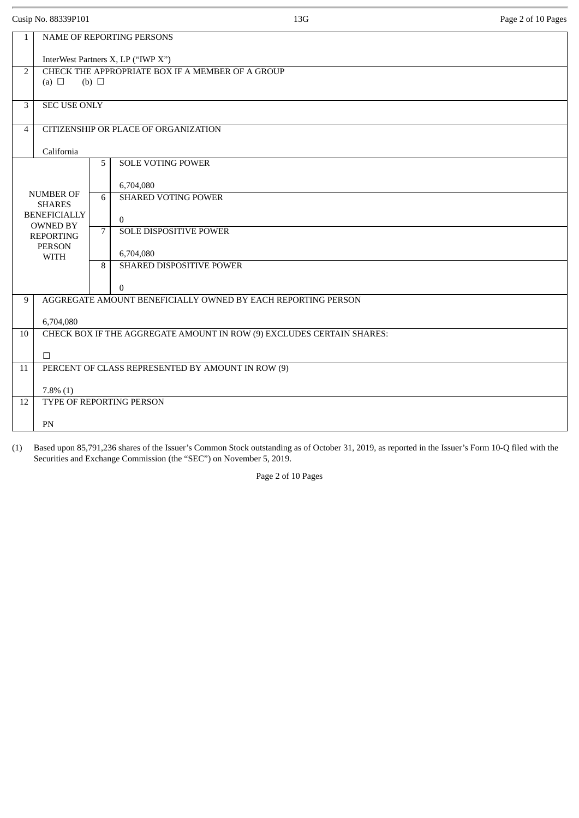|  | Cusip No. 88339P101 |
|--|---------------------|
|  |                     |

| $\mathbf{1}$   |                                      |                 | NAME OF REPORTING PERSONS                                                                                                                              |
|----------------|--------------------------------------|-----------------|--------------------------------------------------------------------------------------------------------------------------------------------------------|
|                |                                      |                 | InterWest Partners X, LP ("IWP X")                                                                                                                     |
| $\overline{2}$ |                                      |                 | CHECK THE APPROPRIATE BOX IF A MEMBER OF A GROUP                                                                                                       |
|                | (a) $\Box$                           | $(b)$ $\square$ |                                                                                                                                                        |
| 3              | <b>SEC USE ONLY</b>                  |                 |                                                                                                                                                        |
|                |                                      |                 |                                                                                                                                                        |
| $\overline{4}$ |                                      |                 | CITIZENSHIP OR PLACE OF ORGANIZATION                                                                                                                   |
|                | California                           |                 |                                                                                                                                                        |
|                |                                      | 5               | <b>SOLE VOTING POWER</b>                                                                                                                               |
|                |                                      |                 | 6,704,080                                                                                                                                              |
|                | <b>NUMBER OF</b>                     | 6               | <b>SHARED VOTING POWER</b>                                                                                                                             |
|                | <b>SHARES</b><br><b>BENEFICIALLY</b> |                 | $\mathbf{0}$                                                                                                                                           |
|                | <b>OWNED BY</b>                      | $\overline{7}$  | <b>SOLE DISPOSITIVE POWER</b>                                                                                                                          |
|                | <b>REPORTING</b><br><b>PERSON</b>    |                 |                                                                                                                                                        |
|                | <b>WITH</b>                          |                 | 6,704,080                                                                                                                                              |
|                |                                      | 8               | <b>SHARED DISPOSITIVE POWER</b>                                                                                                                        |
|                |                                      |                 | $\Omega$                                                                                                                                               |
| 9              |                                      |                 | AGGREGATE AMOUNT BENEFICIALLY OWNED BY EACH REPORTING PERSON                                                                                           |
|                | 6,704,080                            |                 |                                                                                                                                                        |
| 10             |                                      |                 | CHECK BOX IF THE AGGREGATE AMOUNT IN ROW (9) EXCLUDES CERTAIN SHARES:                                                                                  |
|                | $\Box$                               |                 |                                                                                                                                                        |
| 11             |                                      |                 | PERCENT OF CLASS REPRESENTED BY AMOUNT IN ROW (9)                                                                                                      |
|                |                                      |                 |                                                                                                                                                        |
| 12             | $7.8\%$ (1)                          |                 | TYPE OF REPORTING PERSON                                                                                                                               |
|                |                                      |                 |                                                                                                                                                        |
|                | PN                                   |                 |                                                                                                                                                        |
|                |                                      |                 | (1) Based upon 85.791.236 shares of the Issuer's Common Stock outstanding as of October 31, 2019, as reported in the Issuer's Form 10-O filed with the |
|                |                                      |                 |                                                                                                                                                        |

13G Page 2 of 10 Pages

mmon Stock outstanding as of October 31, 2019, as reported in the Issuer's Form 10-Q filed with the Based upon 85,791,236 shares of the Issuer's Common Stock outstanding<br>Securities and Exchange Commission (the "SEC") on November 5, 2019.

Page 2 of 10 Pages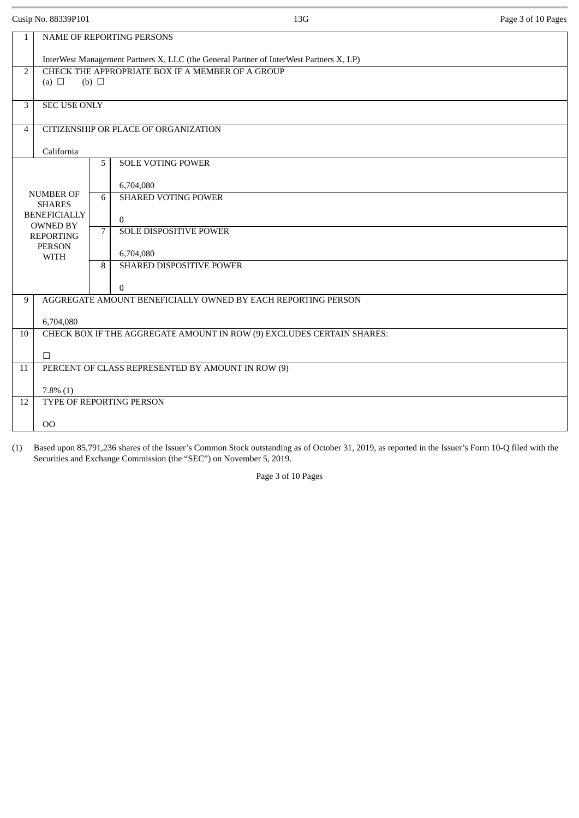|                | Cusip No. 88339P101                 |            | 13G                                                                                                                                                | Page 3 of 10 Pages |
|----------------|-------------------------------------|------------|----------------------------------------------------------------------------------------------------------------------------------------------------|--------------------|
| $\mathbf{1}$   |                                     |            | NAME OF REPORTING PERSONS                                                                                                                          |                    |
|                |                                     |            | InterWest Management Partners X, LLC (the General Partner of InterWest Partners X, LP)                                                             |                    |
| $\overline{2}$ | (a) $\Box$                          | (b) $\Box$ | CHECK THE APPROPRIATE BOX IF A MEMBER OF A GROUP                                                                                                   |                    |
| 3              | <b>SEC USE ONLY</b>                 |            |                                                                                                                                                    |                    |
| 4              |                                     |            | CITIZENSHIP OR PLACE OF ORGANIZATION                                                                                                               |                    |
|                | California                          |            |                                                                                                                                                    |                    |
|                |                                     | 5          | <b>SOLE VOTING POWER</b>                                                                                                                           |                    |
|                |                                     |            | 6,704,080                                                                                                                                          |                    |
|                | <b>NUMBER OF</b><br><b>SHARES</b>   | 6          | <b>SHARED VOTING POWER</b>                                                                                                                         |                    |
|                | <b>BENEFICIALLY</b>                 |            | $\mathbf{0}$                                                                                                                                       |                    |
|                | <b>OWNED BY</b><br><b>REPORTING</b> | 7          | <b>SOLE DISPOSITIVE POWER</b>                                                                                                                      |                    |
|                | <b>PERSON</b><br><b>WITH</b>        |            | 6,704,080                                                                                                                                          |                    |
|                |                                     | 8          | SHARED DISPOSITIVE POWER                                                                                                                           |                    |
|                |                                     |            | $\mathbf{0}$                                                                                                                                       |                    |
| 9              |                                     |            | AGGREGATE AMOUNT BENEFICIALLY OWNED BY EACH REPORTING PERSON                                                                                       |                    |
|                | 6,704,080                           |            |                                                                                                                                                    |                    |
| 10             |                                     |            | CHECK BOX IF THE AGGREGATE AMOUNT IN ROW (9) EXCLUDES CERTAIN SHARES:                                                                              |                    |
|                | $\Box$                              |            |                                                                                                                                                    |                    |
| 11             |                                     |            | PERCENT OF CLASS REPRESENTED BY AMOUNT IN ROW (9)                                                                                                  |                    |
|                | $7.8\%$ (1)                         |            |                                                                                                                                                    |                    |
| 12             |                                     |            | TYPE OF REPORTING PERSON                                                                                                                           |                    |
|                | 00                                  |            |                                                                                                                                                    |                    |
|                |                                     |            |                                                                                                                                                    |                    |
| (1)            |                                     |            | Based upon 85,791,236 shares of the Issuer's Common Stock outstanding as of October 31, 2019, as reported in the Issuer's Form 10-Q filed with the |                    |

Securities and Exchange Commission (the "SEC") on November 5, 2019.

Page 3 of 10 Pages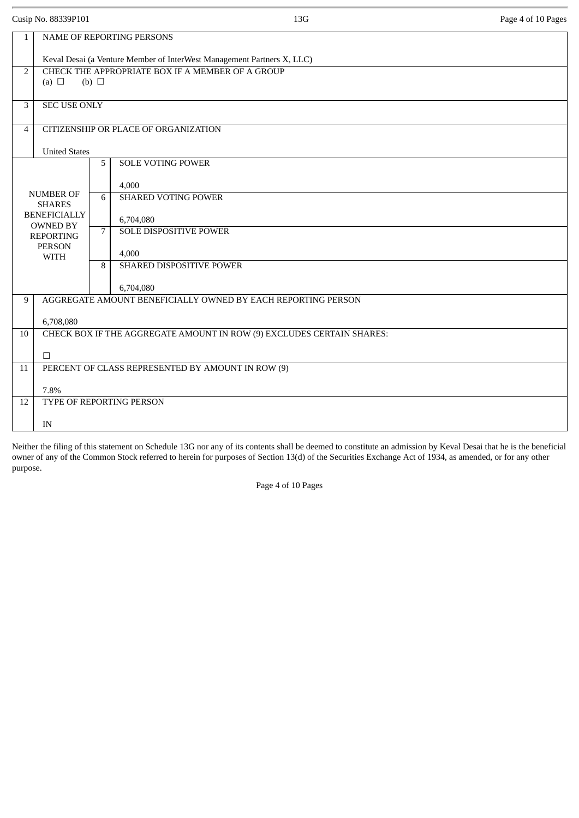Cusip No. 88339P101 **13G** Page 4 of 10 Pages

| $\mathbf{1}$   |                                        |                | NAME OF REPORTING PERSONS                                                 |
|----------------|----------------------------------------|----------------|---------------------------------------------------------------------------|
|                |                                        |                | Keval Desai (a Venture Member of InterWest Management Partners X, LLC)    |
| $\overline{2}$ | (a) $\Box$                             | (b) $\Box$     | CHECK THE APPROPRIATE BOX IF A MEMBER OF A GROUP                          |
|                |                                        |                |                                                                           |
| 3              | <b>SEC USE ONLY</b>                    |                |                                                                           |
| $\overline{4}$ |                                        |                | CITIZENSHIP OR PLACE OF ORGANIZATION                                      |
|                | <b>United States</b>                   |                |                                                                           |
|                |                                        | 5              | <b>SOLE VOTING POWER</b>                                                  |
|                | <b>NUMBER OF</b>                       |                | 4,000                                                                     |
|                | <b>SHARES</b>                          | 6              | <b>SHARED VOTING POWER</b>                                                |
|                | <b>BENEFICIALLY</b><br><b>OWNED BY</b> |                | 6,704,080                                                                 |
|                | <b>REPORTING</b><br><b>PERSON</b>      | $\overline{7}$ | SOLE DISPOSITIVE POWER                                                    |
|                | WITH                                   | 8              | 4,000<br>SHARED DISPOSITIVE POWER                                         |
|                |                                        |                |                                                                           |
| 9              |                                        |                | 6,704,080<br>AGGREGATE AMOUNT BENEFICIALLY OWNED BY EACH REPORTING PERSON |
|                |                                        |                |                                                                           |
| 10             | 6,708,080                              |                | CHECK BOX IF THE AGGREGATE AMOUNT IN ROW (9) EXCLUDES CERTAIN SHARES:     |
|                |                                        |                |                                                                           |
| 11             | $\Box$                                 |                | PERCENT OF CLASS REPRESENTED BY AMOUNT IN ROW (9)                         |
|                |                                        |                |                                                                           |
| 12             | 7.8%                                   |                | TYPE OF REPORTING PERSON                                                  |
|                |                                        |                |                                                                           |
|                | IN                                     |                |                                                                           |

Neither the filing of this statement on Schedule 13G nor any of its contents shall be deemed to constitute an admission by Keval Desai that he is the beneficial owner of any of the Common Stock referred to herein for purposes of Section 13(d) of the Securities Exchange Act of 1934, as amended, or for any other purpose.

Page 4 of 10 Pages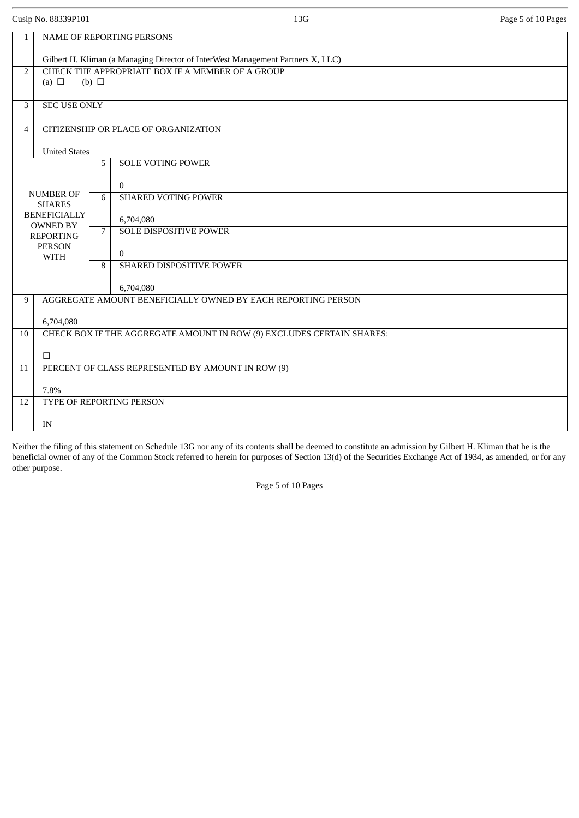|                | Cusip No. 88339P101                    |                | 13G                                                                                                                                                         | Page 5 of 10 Pages |
|----------------|----------------------------------------|----------------|-------------------------------------------------------------------------------------------------------------------------------------------------------------|--------------------|
| $\mathbf{1}$   |                                        |                | NAME OF REPORTING PERSONS                                                                                                                                   |                    |
|                |                                        |                | Gilbert H. Kliman (a Managing Director of InterWest Management Partners X, LLC)                                                                             |                    |
| $\overline{2}$ | (a) $\Box$                             | (b) $\Box$     | CHECK THE APPROPRIATE BOX IF A MEMBER OF A GROUP                                                                                                            |                    |
|                |                                        |                |                                                                                                                                                             |                    |
| 3              | <b>SEC USE ONLY</b>                    |                |                                                                                                                                                             |                    |
| 4              |                                        |                | CITIZENSHIP OR PLACE OF ORGANIZATION                                                                                                                        |                    |
|                | <b>United States</b>                   |                |                                                                                                                                                             |                    |
|                |                                        | 5              | <b>SOLE VOTING POWER</b>                                                                                                                                    |                    |
|                | <b>NUMBER OF</b>                       |                | $\overline{0}$                                                                                                                                              |                    |
|                | <b>SHARES</b>                          | 6              | <b>SHARED VOTING POWER</b>                                                                                                                                  |                    |
|                | <b>BENEFICIALLY</b><br><b>OWNED BY</b> |                | 6,704,080                                                                                                                                                   |                    |
|                | <b>REPORTING</b>                       | $\overline{7}$ | <b>SOLE DISPOSITIVE POWER</b>                                                                                                                               |                    |
|                | <b>PERSON</b><br><b>WITH</b>           |                | $\Omega$                                                                                                                                                    |                    |
|                |                                        | 8              | SHARED DISPOSITIVE POWER                                                                                                                                    |                    |
|                |                                        |                | 6,704,080                                                                                                                                                   |                    |
| 9              |                                        |                | AGGREGATE AMOUNT BENEFICIALLY OWNED BY EACH REPORTING PERSON                                                                                                |                    |
|                | 6,704,080                              |                |                                                                                                                                                             |                    |
| 10             |                                        |                | CHECK BOX IF THE AGGREGATE AMOUNT IN ROW (9) EXCLUDES CERTAIN SHARES:                                                                                       |                    |
|                | $\Box$                                 |                |                                                                                                                                                             |                    |
| 11             |                                        |                | PERCENT OF CLASS REPRESENTED BY AMOUNT IN ROW (9)                                                                                                           |                    |
|                | 7.8%                                   |                |                                                                                                                                                             |                    |
| 12             |                                        |                | TYPE OF REPORTING PERSON                                                                                                                                    |                    |
|                | IN                                     |                |                                                                                                                                                             |                    |
|                |                                        |                | Neither the filing of this statement on Schedule 13G nor any of its contents shall be deemed to constitute an admission by Gilbert H. Kliman that he is the |                    |

beneficial owner of any of the Common Stock referred to herein for purposes of Section 13(d) of the Securities Exchange Act of 1934, as amended, or for any other purpose.

Page 5 of 10 Pages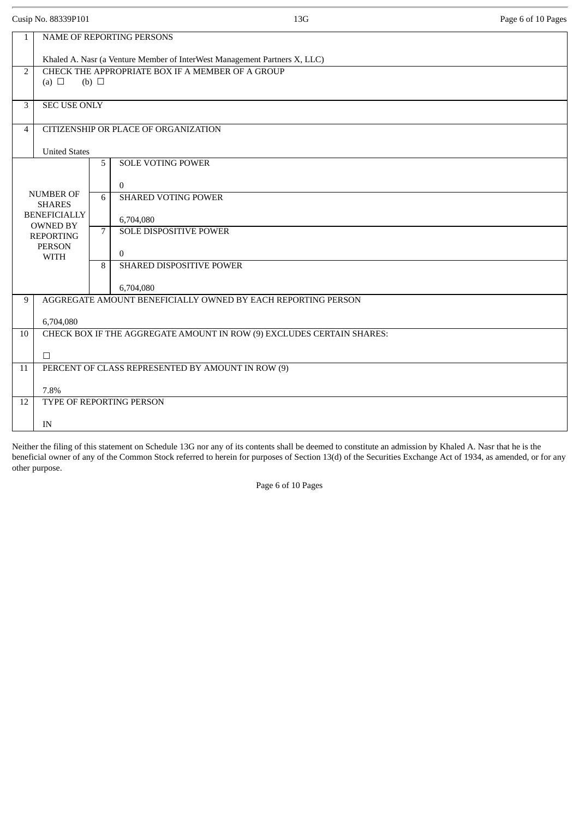Cusip No. 88339P101 **13G** Page 6 of 10 Pages

| $\mathbf{1}$   |                                        |                | NAME OF REPORTING PERSONS                                                 |  |
|----------------|----------------------------------------|----------------|---------------------------------------------------------------------------|--|
|                |                                        |                | Khaled A. Nasr (a Venture Member of InterWest Management Partners X, LLC) |  |
| $\overline{2}$ |                                        |                | CHECK THE APPROPRIATE BOX IF A MEMBER OF A GROUP                          |  |
|                | (a) $\Box$                             | (b) $\Box$     |                                                                           |  |
|                |                                        |                |                                                                           |  |
| 3              | SEC USE ONLY                           |                |                                                                           |  |
| $\overline{4}$ |                                        |                | CITIZENSHIP OR PLACE OF ORGANIZATION                                      |  |
|                | <b>United States</b>                   |                |                                                                           |  |
|                |                                        | 5              | <b>SOLE VOTING POWER</b>                                                  |  |
|                |                                        |                |                                                                           |  |
|                | <b>NUMBER OF</b>                       | 6              | $\overline{0}$<br><b>SHARED VOTING POWER</b>                              |  |
|                | <b>SHARES</b>                          |                |                                                                           |  |
|                | <b>BENEFICIALLY</b><br><b>OWNED BY</b> |                | 6,704,080                                                                 |  |
|                | <b>REPORTING</b>                       | $\overline{7}$ | SOLE DISPOSITIVE POWER                                                    |  |
|                | <b>PERSON</b>                          |                | $\overline{0}$                                                            |  |
|                | <b>WITH</b>                            | 8              | SHARED DISPOSITIVE POWER                                                  |  |
|                |                                        |                |                                                                           |  |
|                |                                        |                | 6,704,080                                                                 |  |
| 9              |                                        |                | AGGREGATE AMOUNT BENEFICIALLY OWNED BY EACH REPORTING PERSON              |  |
|                | 6,704,080                              |                |                                                                           |  |
| 10             |                                        |                | CHECK BOX IF THE AGGREGATE AMOUNT IN ROW (9) EXCLUDES CERTAIN SHARES:     |  |
|                |                                        |                |                                                                           |  |
|                | $\Box$                                 |                |                                                                           |  |
| 11             |                                        |                | PERCENT OF CLASS REPRESENTED BY AMOUNT IN ROW (9)                         |  |
|                | 7.8%                                   |                |                                                                           |  |
| 12             |                                        |                | TYPE OF REPORTING PERSON                                                  |  |
|                |                                        |                |                                                                           |  |
|                | IN                                     |                |                                                                           |  |
|                |                                        |                |                                                                           |  |

Neither the filing of this statement on Schedule 13G nor any of its contents shall be deemed to constitute an admission by Khaled A. Nasr that he is the beneficial owner of any of the Common Stock referred to herein for purposes of Section 13(d) of the Securities Exchange Act of 1934, as amended, or for any other purpose.

Page 6 of 10 Pages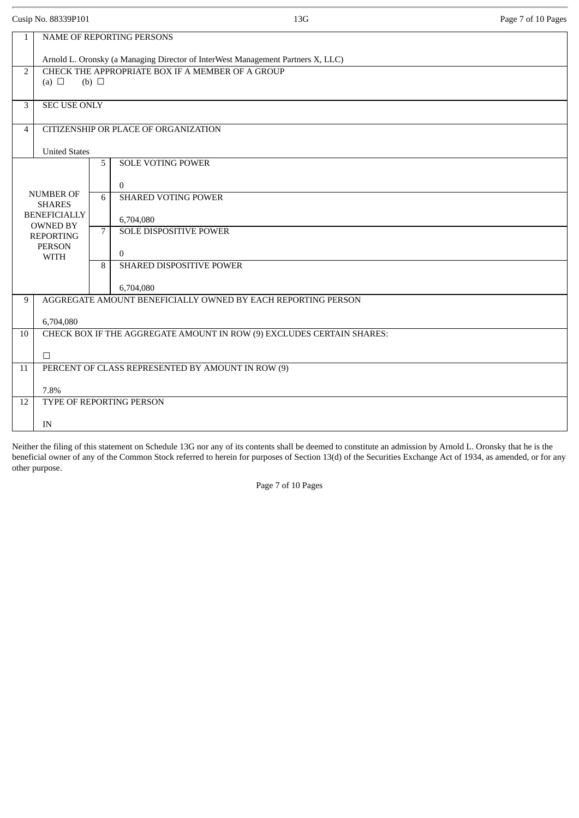|                | Cusip No. 88339P101               |            | 13G                                                                                                                                                         | Page 7 of 10 Pages |
|----------------|-----------------------------------|------------|-------------------------------------------------------------------------------------------------------------------------------------------------------------|--------------------|
| $\mathbf{1}$   |                                   |            | NAME OF REPORTING PERSONS                                                                                                                                   |                    |
|                |                                   |            | Arnold L. Oronsky (a Managing Director of InterWest Management Partners X, LLC)                                                                             |                    |
| $\overline{2}$ | (a) $\Box$                        | (b) $\Box$ | CHECK THE APPROPRIATE BOX IF A MEMBER OF A GROUP                                                                                                            |                    |
| 3              | <b>SEC USE ONLY</b>               |            |                                                                                                                                                             |                    |
| $\overline{4}$ |                                   |            | CITIZENSHIP OR PLACE OF ORGANIZATION                                                                                                                        |                    |
|                | <b>United States</b>              |            |                                                                                                                                                             |                    |
|                |                                   | 5          | <b>SOLE VOTING POWER</b>                                                                                                                                    |                    |
|                |                                   |            | $\mathbf{0}$                                                                                                                                                |                    |
|                | <b>NUMBER OF</b><br><b>SHARES</b> | 6          | <b>SHARED VOTING POWER</b>                                                                                                                                  |                    |
|                | <b>BENEFICIALLY</b>               |            | 6,704,080                                                                                                                                                   |                    |
|                | OWNED BY                          | 7          | SOLE DISPOSITIVE POWER                                                                                                                                      |                    |
|                | <b>REPORTING</b><br><b>PERSON</b> |            |                                                                                                                                                             |                    |
|                | <b>WITH</b>                       | 8          | $\Omega$<br><b>SHARED DISPOSITIVE POWER</b>                                                                                                                 |                    |
|                |                                   |            |                                                                                                                                                             |                    |
|                |                                   |            | 6,704,080                                                                                                                                                   |                    |
| 9              |                                   |            | AGGREGATE AMOUNT BENEFICIALLY OWNED BY EACH REPORTING PERSON                                                                                                |                    |
|                | 6,704,080                         |            |                                                                                                                                                             |                    |
| 10             |                                   |            | CHECK BOX IF THE AGGREGATE AMOUNT IN ROW (9) EXCLUDES CERTAIN SHARES:                                                                                       |                    |
|                | $\Box$                            |            |                                                                                                                                                             |                    |
| 11             |                                   |            | PERCENT OF CLASS REPRESENTED BY AMOUNT IN ROW (9)                                                                                                           |                    |
|                |                                   |            |                                                                                                                                                             |                    |
| 12             | 7.8%                              |            | TYPE OF REPORTING PERSON                                                                                                                                    |                    |
|                |                                   |            |                                                                                                                                                             |                    |
|                | IN                                |            |                                                                                                                                                             |                    |
|                |                                   |            | Neither the filing of this statement on Schedule 13G nor any of its contents shall be deemed to constitute an admission by Arnold L. Oronsky that he is the |                    |

beneficial owner of any of the Common Stock referred to herein for purposes of Section 13(d) of the Securities Exchange Act of 1934, as amended, or for any other purpose.

Page 7 of 10 Pages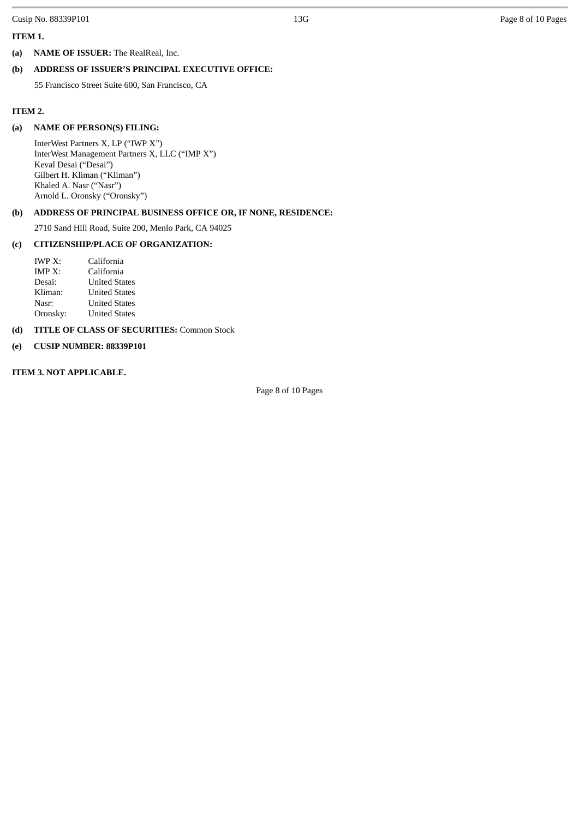Cusip No. 88339P101 **13G** Page 8 of 10 Pages

# **ITEM 1.**

**(a) NAME OF ISSUER:** The RealReal, Inc.

# **(b) ADDRESS OF ISSUER'S PRINCIPAL EXECUTIVE OFFICE:**

55 Francisco Street Suite 600, San Francisco, CA

## **ITEM 2.**

#### **(a) NAME OF PERSON(S) FILING:**

InterWest Partners X, LP ("IWP X") InterWest Management Partners X, LLC ("IMP X") Keval Desai ("Desai") Gilbert H. Kliman ("Kliman") Khaled A. Nasr ("Nasr") Arnold L. Oronsky ("Oronsky")

# **(b) ADDRESS OF PRINCIPAL BUSINESS OFFICE OR, IF NONE, RESIDENCE:**

2710 Sand Hill Road, Suite 200, Menlo Park, CA 94025

#### **(c) CITIZENSHIP/PLACE OF ORGANIZATION:**

| <b>IWP X:</b> | California           |
|---------------|----------------------|
| IMP X:        | California           |
| Desai:        | <b>United States</b> |
| Kliman:       | <b>United States</b> |
| Nasr:         | <b>United States</b> |
| Oronsky:      | <b>United States</b> |

# **(d) TITLE OF CLASS OF SECURITIES:** Common Stock

### **(e) CUSIP NUMBER: 88339P101**

#### **ITEM 3. NOT APPLICABLE.**

Page 8 of 10 Pages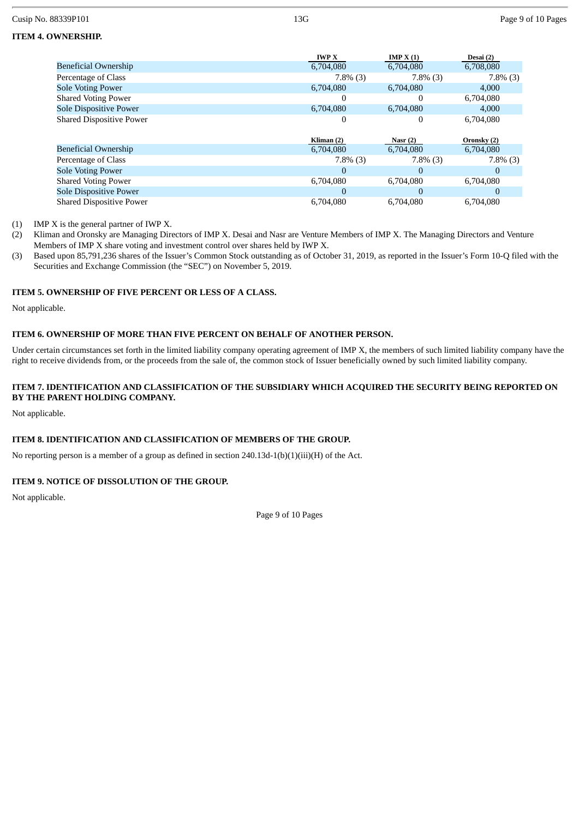# **ITEM 4. OWNERSHIP.**

|                                 | <b>IWP X</b> | IMP $X(1)$  | Desai (2)   |
|---------------------------------|--------------|-------------|-------------|
| Beneficial Ownership            | 6,704,080    | 6,704,080   | 6,708,080   |
| Percentage of Class             | $7.8\%$ (3)  | $7.8\%$ (3) | $7.8\%$ (3) |
| <b>Sole Voting Power</b>        | 6,704,080    | 6,704,080   | 4,000       |
| <b>Shared Voting Power</b>      | 0            |             | 6,704,080   |
| <b>Sole Dispositive Power</b>   | 6.704.080    | 6,704,080   | 4,000       |
| <b>Shared Dispositive Power</b> | 0            | 0           | 6,704,080   |
|                                 |              |             |             |
|                                 |              |             |             |
|                                 | Kliman (2)   | Nasr $(2)$  | Oronsky (2) |
| <b>Beneficial Ownership</b>     | 6,704,080    | 6,704,080   | 6,704,080   |
| Percentage of Class             | $7.8\%$ (3)  | $7.8\%$ (3) | $7.8\%$ (3) |
| <b>Sole Voting Power</b>        | 0            | 0           | $\Omega$    |
| <b>Shared Voting Power</b>      | 6,704,080    | 6,704,080   | 6,704,080   |
| <b>Sole Dispositive Power</b>   | 0            | 0           | $\Omega$    |

- (1) IMP X is the general partner of IWP X.
- (2) Kliman and Oronsky are Managing Directors of IMP X. Desai and Nasr are Venture Members of IMP X. The Managing Directors and Venture Members of IMP X share voting and investment control over shares held by IWP X.
- (3) Based upon 85,791,236 shares of the Issuer's Common Stock outstanding as of October 31, 2019, as reported in the Issuer's Form 10-Q filed with the Securities and Exchange Commission (the "SEC") on November 5, 2019.

# **ITEM 5. OWNERSHIP OF FIVE PERCENT OR LESS OF A CLASS.**

Not applicable.

#### **ITEM 6. OWNERSHIP OF MORE THAN FIVE PERCENT ON BEHALF OF ANOTHER PERSON.**

Under certain circumstances set forth in the limited liability company operating agreement of IMP X, the members of such limited liability company have the right to receive dividends from, or the proceeds from the sale of, the common stock of Issuer beneficially owned by such limited liability company.

## **ITEM 7. IDENTIFICATION AND CLASSIFICATION OF THE SUBSIDIARY WHICH ACQUIRED THE SECURITY BEING REPORTED ON BY THE PARENT HOLDING COMPANY.**

Not applicable.

#### **ITEM 8. IDENTIFICATION AND CLASSIFICATION OF MEMBERS OF THE GROUP.**

No reporting person is a member of a group as defined in section 240.13d-1(b)(1)(iii)(H) of the Act.

# **ITEM 9. NOTICE OF DISSOLUTION OF THE GROUP.**

Not applicable.

Page 9 of 10 Pages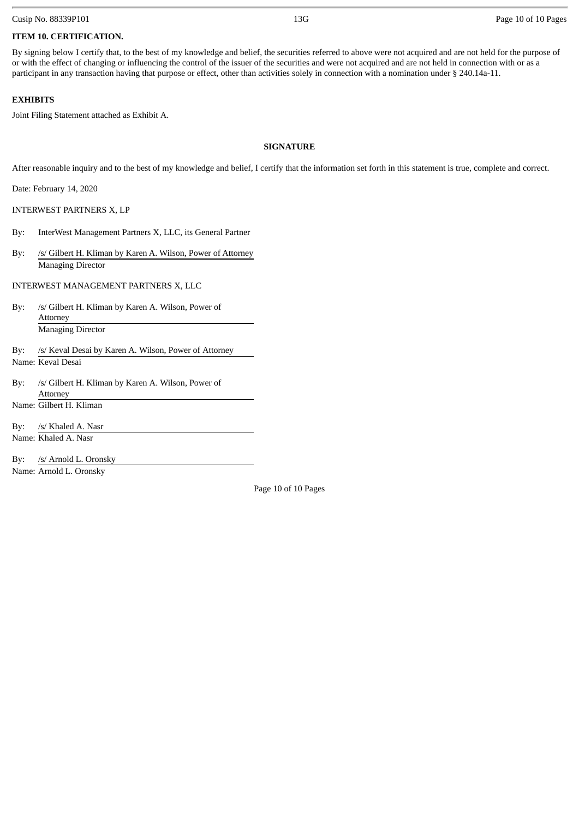Cusip No. 88339P101 **13G** Page 10 of 10 Pages

# **ITEM 10. CERTIFICATION.**

By signing below I certify that, to the best of my knowledge and belief, the securities referred to above were not acquired and are not held for the purpose of or with the effect of changing or influencing the control of the issuer of the securities and were not acquired and are not held in connection with or as a participant in any transaction having that purpose or effect, other than activities solely in connection with a nomination under § 240.14a-11.

## **EXHIBITS**

Joint Filing Statement attached as Exhibit A.

#### **SIGNATURE**

After reasonable inquiry and to the best of my knowledge and belief, I certify that the information set forth in this statement is true, complete and correct.

Date: February 14, 2020

INTERWEST PARTNERS X, LP

- By: InterWest Management Partners X, LLC, its General Partner
- By: /s/ Gilbert H. Kliman by Karen A. Wilson, Power of Attorney Managing Director
- INTERWEST MANAGEMENT PARTNERS X, LLC
- By: /s/ Gilbert H. Kliman by Karen A. Wilson, Power of Attorney Managing Director
- By: /s/ Keval Desai by Karen A. Wilson, Power of Attorney Name: Keval Desai
- By: /s/ Gilbert H. Kliman by Karen A. Wilson, Power of Attorney Name: Gilbert H. Kliman
- 
- By: /s/ Khaled A. Nasr Name: Khaled A. Nasr
- By: /s/ Arnold L. Oronsky Name: Arnold L. Oronsky

Page 10 of 10 Pages